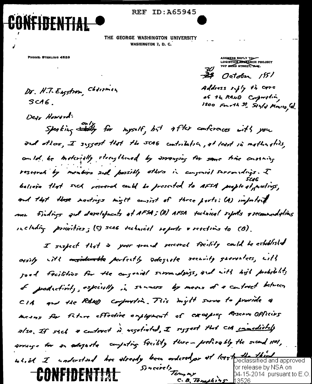## **REF ID:A65945**



THE GEORGE WASHINGTON UNIVERSITY **WASHINGTON 7, D. C.** 

PHONE: STERLING 4539

 $SCAG$ .

Dr. H.T. Eugstrom, Chairman

LOGISTICS RESERVED PROJECT **ADDRESS REPLY TOW** 

 $\frac{2}{3}$  Octobre 1551

Address rifly th care of the RAND Corporation, 1500 Fourth St. Sinly Monits, Cal.

Dear Howard:<br>Speaking Staty for myself, but after conferences with you and others, I suggest that the SCAG contribution, at least in mathematics, contal, be motorially strengthened by arranging for same trice custains research by members and possibly others in conferral surroundings. I believe that sick reserved could be preserted to AFSA people of meetings, and that those nortings might consist of three prots: (A) important mer findings and developments at AFSA; (B) AFSA technical reports & recommendations including priorities; (c) scas technical reports & reactives to (B).

I suspect that is your around received facility could be established arsily with ansidentle perfectly sdegrate security garrantees, with sood freilities for the congeniel surroundaris, ind with hish prohibility of podsctivity, especially in stances by mores of a contract between CIA and the RAND confunction. This might surve to provide a mesus for fiture effective employment of excepting Reserve Officios also, If sich a context is resolvated, I seggest that CIA innediately proving for an adopted computing facility there - protically the second 1101, us.il I understand her stready been ordered, or of least peclassified and approved Sincerely<br>Tempor for release by NSA on **CONFIDENTIAL** D4-15-2014 pursuant to  $E.O$ C. B. Tomphins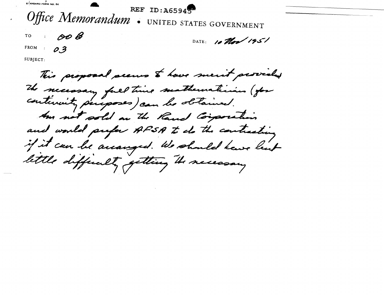SIANDARD FORM NO 64 REF ID: A65945 Office Memorandum . UNITED STATES GOVERNMENT  $\mathscr{O}$ TO DATE: 10 Man 1951 FROM :  $\boldsymbol{O}$  3 SUBJECT:

This proposal seems to have ment provided The necessary full time mathematician (for continuity peroposes) can be obtained. Am not sold an the Rand Corporation and would prefer AFSA to do the contracting if it can be arranged . We should have list lettle differently getting the necessary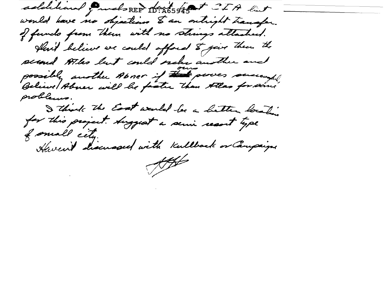additional funds REP 10:265945 TTA link would have no objection to an onlight transfer. of fundo from them with no strings attached. Hart believe we could afford & give them the second Atho but could order another and possibly another Abner if the power successful problems. I think the East would be a hetter location for this project. Auggest a servir recort type of small cety. Heven't discussed with Kullback or Campaign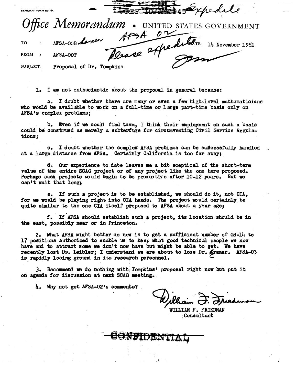-

.<br>STANUARD FORM NC 64

FROM : **AFSA-OOT** 

epedite

SUBJECT: Proposal of Dr. Tompkins

1. I am not enthusiastic about the proposal in general because:

a. I doubt whether there are many or even a few high-level mathematicians who would be available to work on a full-time or large part-time basis only on AFSA's complex problems;

b. Even if we could find them, I think their employment on such a basis could be construed as merely a subterfuge tor circumventing Civil Service Regulations;

c. I doubt whether the complex AFSA problems can be suffcessfully handled at a large distance from AFSA. Certainly California is too far away;

do Our experience to date leaves me a bit sceptical of the short-term value of the entire SCAG project or ot any project like the one here proposed. Perhaps such projects would begin to be productive after 10-12 years. But we can't wait that long:

e. If such a project is to be established, we should do it, not  $CIA$ , for we would be playing right into CIA hands. The project would certainly be quite similar to the one CIA itself proposed to AFSA about a year ago;

f. If AFSA should establish such a project, its location should be in the east, possibly near or in Princeton.

2. What AFSA might better do now is to get a sufficient number of  $GS-14$  to 17 positions authorized to enable us to keep what good technical people we now have and to attract some we don't now have but might be able to get. We have recently lost Dr. Leibler; I understand we are about to lose Dr. Kramer. AFSA-03 is rapidly losing ground in its research personnel.

3. Recommend we do nothing with Tompkins' proposal right now but put it on agenda for discussion at next SCAG meeting.

4. Why not get AFSA-02 1s eommenta?

Wilhain J. Friedman

WILLIAM F. FRIEDMAN **Consultant** 

..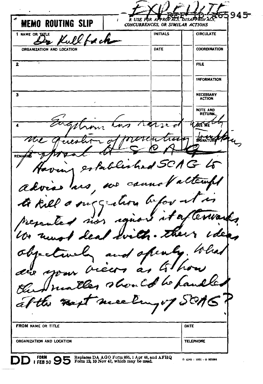$945 -$ RUSE POR APPROVATS **DISAPPROVA**  $\mathbf{I}$ **MEMO ROUTING SLIP** CONCURRENCES, OR SIMILAR ACTIONS **INITIALS CIRCULATE** 1 NAME OR TITLE n ch ORGANIZATION AND LOCATION DATE **COORDINATION**  $\overline{\mathbf{2}}$ FILE **INFORMATION** NECESSARY  $\overline{\mathbf{3}}$ **ACTION NOTE AND** RETURN  $\overline{\mathbf{A}}$  $\overline{\triangle}$  2  $\overline{\triangle}$ ለፈረ **KENAT** rin REMARK flexhe  $\overline{\mathcal{C}}$ advi  $\mathcal{U}$ br 1  $\subset$ ę Þ Wa. zžs uo. Ъ  $\mathcal{U}$  $\overline{a}$ فسنحص وسم ł. **FROM NAME OR TITLE** DATE ORGANIZATION AND LOCATION **TELEPHONE** FORM Replaces DA AGO Form 895, 1 Apr 48, and AFHQ<br>Form 12, 10 Nov 47, which may be used. 1 FEB 50 95  $\triangle$  GPO : 1951 - 0 925564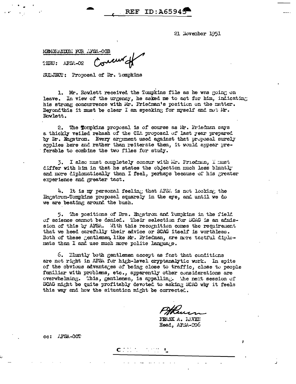21 November 1951

MEMORATION: FOR AFSA-OOB TERU: AFSA-02

SULJECT: Proposal of Dr. Tompkins

1. Mr. Rowlett received the Tompkins file as he was going on leave. In view of the urgency, he asked me to act for him, indicating his strong concurrence with Mr. Friedman's position on the matter. Beyond this it must be clear I am speaking for myself and not Mr. Rowlett.

 $REF$  ID:  $A6594<sup>6</sup>$ 

2. The Tormkins proposal is of course as Mr. Friedman says a thickly veiled rehash of the CIA proposal of last year prepared by Dr. Engstrom. Every argument used against that proposal surely applies here and rather than reiterate then, it would appear preferable to combine the two files for study.

3. I also must completely concur with Mr. Friedman, I must differ with him in that he states the objection much less bluntly and more diplomatically than I feel, perhaps because of his greater experience and greater tact.

4. It is my personal feeling that AFSA is not looking the Engstrom-Tompkins proposal squarely in the eye, and until we do we are beating around the bush.

5. The positions of Drs. Engstrom and Tompkins in the field of science cannot be denied. Their selection for SCAG is an admission of this by AFSA. With this recognition comes the requirement that we heed carefully their advice or SCAG itself is worthless. Both of these gentlemen, like Mr. Friedman, are more tactful diplomats than I and use much more polite language.

6. Eluntly both gentlemen accept as fact that conditions are not right in AFSA for high-level cryptanalytic work. In spite of the obvious advantages of being close to traffic, close to people femiliar with problems, etc., apparently other considerations are overwhelming. This, gentlemen, is appalling. The next session of SCAG might be quite profitably devoted to asking SCAG why it feels this way and how the situation might be corrected.

 $C^{\text{even}}$ 

FRANK A. LAVEN Head, AFSA-206

cc: AFSA-00T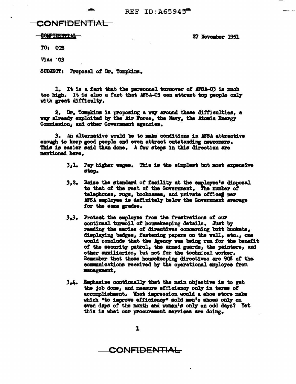REF ID:  $\lambda$ 65945

## <del>CONFIDENTIAL -</del>

**CONFIDENTIAL** 

27 November 1951

**TO: OOB** 

**Via: 03** 

SUBJECT: Proposal of Dr. Tompkins.

1. It is a fact that the personnel turnover of AFSA-03 is much too high. It is also a fact that AFSA-03 can attract top people only with great difficulty.

2. Dr. Tompkins is proposing a way around these difficulties, a way already exploited by the Air Force, the Navy, the Atomic Energy Commission, and other Government agencies.

3. An alternative would be to make conditions in AFSA attractive enough to keep good people and even attract outstanding newcomers. This is easier said than done. A few steps in this direction are mentioned here.

- 3,1. Pay higher wages. This is the simplest but most expensive step.
- 3,2. Raise the standard of facility at the employee's disposal to that of the rest of the Government. The number of telephones, rugs, bookcases, and private offices per AFSA employee is definitely below the Government average for the same grades.
- 3,3. Protect the employee from the frustrations of our continual turnoil of housekeeping details. Just by reading the series of directives concerning butt buckets, displaying badges, fastening papers on the wall, etc., one would conclude that the Agency was being run for the benefit of the security patrol, the armed guards, the painters, and other auxiliaries, but not for the technical worker. Remember that these housekeeping directives are 90% of the communications received by the operational employee from management.
- 3,4. Emphasize continually that the main objective is to get the job done, and measure efficiency only in terms of accomplishment. What impression would a shoe store make which "to improve efficiency" sold men's shoes only on even days of the month and women's only on odd days? Yet this is what our procurement services are doing.

CONFIDENTIAL